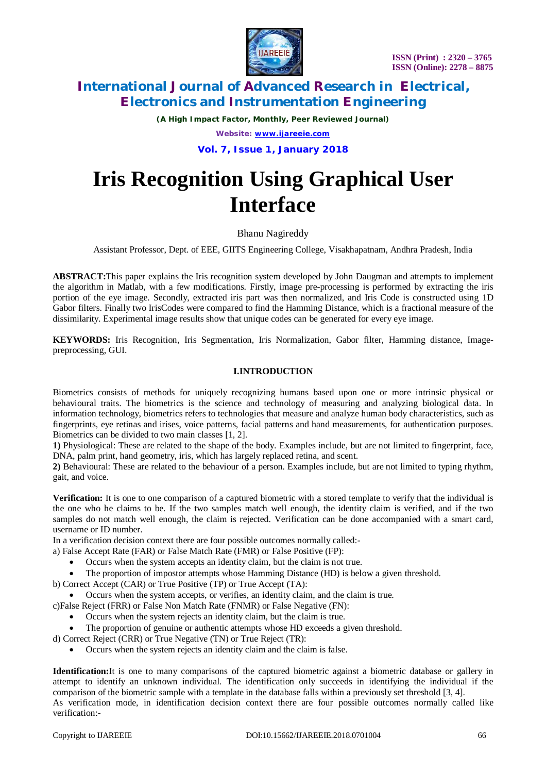

*(A High Impact Factor, Monthly, Peer Reviewed Journal)*

*Website: [www.ijareeie.com](http://www.ijareeie.com)*

**Vol. 7, Issue 1, January 2018**

# **Iris Recognition Using Graphical User Interface**

Bhanu Nagireddy

Assistant Professor, Dept. of EEE, GIITS Engineering College, Visakhapatnam, Andhra Pradesh, India

**ABSTRACT:**This paper explains the Iris recognition system developed by John Daugman and attempts to implement the algorithm in Matlab, with a few modifications. Firstly, image pre-processing is performed by extracting the iris portion of the eye image. Secondly, extracted iris part was then normalized, and Iris Code is constructed using 1D Gabor filters. Finally two IrisCodes were compared to find the Hamming Distance, which is a fractional measure of the dissimilarity. Experimental image results show that unique codes can be generated for every eye image.

**KEYWORDS:** Iris Recognition, Iris Segmentation, Iris Normalization, Gabor filter, Hamming distance, Imagepreprocessing, GUI.

#### **I.INTRODUCTION**

Biometrics consists of methods for uniquely recognizing humans based upon one or more intrinsic physical or behavioural traits. The biometrics is the science and technology of measuring and analyzing biological data. In information technology, biometrics refers to technologies that measure and analyze human body characteristics, such as fingerprints, eye retinas and irises, voice patterns, facial patterns and hand measurements, for authentication purposes. Biometrics can be divided to two main classes [1, 2].

**1)** Physiological: These are related to the shape of the body. Examples include, but are not limited to fingerprint, face, DNA, palm print, hand geometry, iris, which has largely replaced retina, and scent.

**2)** Behavioural: These are related to the behaviour of a person. Examples include, but are not limited to typing rhythm, gait, and voice.

**Verification:** It is one to one comparison of a captured biometric with a stored template to verify that the individual is the one who he claims to be. If the two samples match well enough, the identity claim is verified, and if the two samples do not match well enough, the claim is rejected. Verification can be done accompanied with a smart card, username or ID number.

In a verification decision context there are four possible outcomes normally called:-

- a) False Accept Rate (FAR) or False Match Rate (FMR) or False Positive (FP):
	- Occurs when the system accepts an identity claim, but the claim is not true.
	- The proportion of impostor attempts whose Hamming Distance (HD) is below a given threshold.

b) Correct Accept (CAR) or True Positive (TP) or True Accept (TA):

Occurs when the system accepts, or verifies, an identity claim, and the claim is true.

- c)False Reject (FRR) or False Non Match Rate (FNMR) or False Negative (FN):
	- Occurs when the system rejects an identity claim, but the claim is true.
	- The proportion of genuine or authentic attempts whose HD exceeds a given threshold.
- d) Correct Reject (CRR) or True Negative (TN) or True Reject (TR):
	- Occurs when the system rejects an identity claim and the claim is false.

**Identification:**It is one to many comparisons of the captured biometric against a biometric database or gallery in attempt to identify an unknown individual. The identification only succeeds in identifying the individual if the comparison of the biometric sample with a template in the database falls within a previously set threshold [3, 4]. As verification mode, in identification decision context there are four possible outcomes normally called like verification:-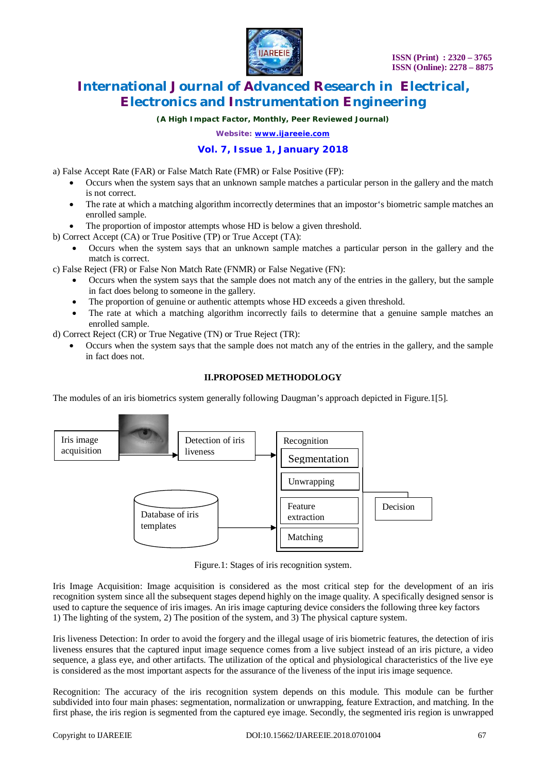

*(A High Impact Factor, Monthly, Peer Reviewed Journal)*

*Website: [www.ijareeie.com](http://www.ijareeie.com)*

### **Vol. 7, Issue 1, January 2018**

a) False Accept Rate (FAR) or False Match Rate (FMR) or False Positive (FP):

- Occurs when the system says that an unknown sample matches a particular person in the gallery and the match is not correct.
- The rate at which a matching algorithm incorrectly determines that an impostor's biometric sample matches an enrolled sample.
- The proportion of impostor attempts whose HD is below a given threshold.
- b) Correct Accept (CA) or True Positive (TP) or True Accept (TA):
	- Occurs when the system says that an unknown sample matches a particular person in the gallery and the match is correct.

c) False Reject (FR) or False Non Match Rate (FNMR) or False Negative (FN):

- Occurs when the system says that the sample does not match any of the entries in the gallery, but the sample in fact does belong to someone in the gallery.
- The proportion of genuine or authentic attempts whose HD exceeds a given threshold.
- The rate at which a matching algorithm incorrectly fails to determine that a genuine sample matches an enrolled sample.
- d) Correct Reject (CR) or True Negative (TN) or True Reject (TR):
	- Occurs when the system says that the sample does not match any of the entries in the gallery, and the sample in fact does not.

### **II.PROPOSED METHODOLOGY**

The modules of an iris biometrics system generally following Daugman's approach depicted in Figure.1[5].



Figure.1: Stages of iris recognition system.

Iris Image Acquisition: Image acquisition is considered as the most critical step for the development of an iris recognition system since all the subsequent stages depend highly on the image quality. A specifically designed sensor is used to capture the sequence of iris images. An iris image capturing device considers the following three key factors 1) The lighting of the system, 2) The position of the system, and 3) The physical capture system.

Iris liveness Detection: In order to avoid the forgery and the illegal usage of iris biometric features, the detection of iris liveness ensures that the captured input image sequence comes from a live subject instead of an iris picture, a video sequence, a glass eye, and other artifacts. The utilization of the optical and physiological characteristics of the live eye is considered as the most important aspects for the assurance of the liveness of the input iris image sequence.

Recognition: The accuracy of the iris recognition system depends on this module. This module can be further subdivided into four main phases: segmentation, normalization or unwrapping, feature Extraction, and matching. In the first phase, the iris region is segmented from the captured eye image. Secondly, the segmented iris region is unwrapped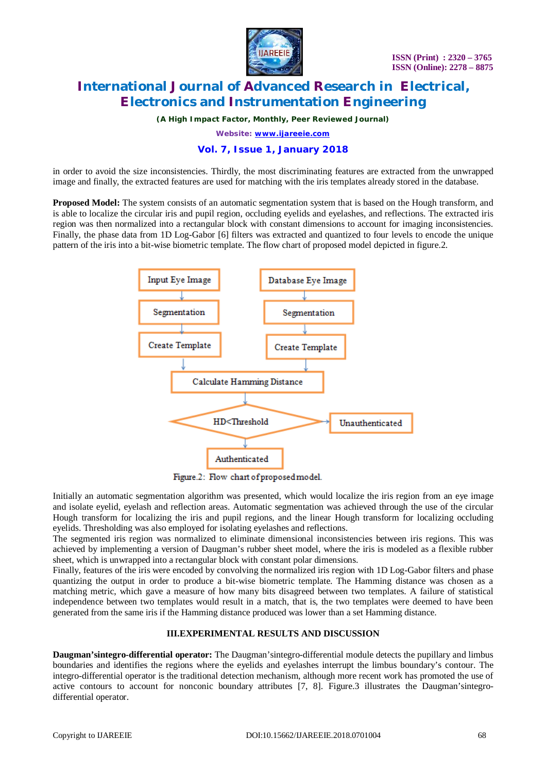

*(A High Impact Factor, Monthly, Peer Reviewed Journal)*

*Website: [www.ijareeie.com](http://www.ijareeie.com)*

#### **Vol. 7, Issue 1, January 2018**

in order to avoid the size inconsistencies. Thirdly, the most discriminating features are extracted from the unwrapped image and finally, the extracted features are used for matching with the iris templates already stored in the database.

**Proposed Model:** The system consists of an automatic segmentation system that is based on the Hough transform, and is able to localize the circular iris and pupil region, occluding eyelids and eyelashes, and reflections. The extracted iris region was then normalized into a rectangular block with constant dimensions to account for imaging inconsistencies. Finally, the phase data from 1D Log-Gabor [6] filters was extracted and quantized to four levels to encode the unique pattern of the iris into a bit-wise biometric template. The flow chart of proposed model depicted in figure.2.



Figure.2: Flow chart of proposed model.

Initially an automatic segmentation algorithm was presented, which would localize the iris region from an eye image and isolate eyelid, eyelash and reflection areas. Automatic segmentation was achieved through the use of the circular Hough transform for localizing the iris and pupil regions, and the linear Hough transform for localizing occluding eyelids. Thresholding was also employed for isolating eyelashes and reflections.

The segmented iris region was normalized to eliminate dimensional inconsistencies between iris regions. This was achieved by implementing a version of Daugman's rubber sheet model, where the iris is modeled as a flexible rubber sheet, which is unwrapped into a rectangular block with constant polar dimensions.

Finally, features of the iris were encoded by convolving the normalized iris region with 1D Log-Gabor filters and phase quantizing the output in order to produce a bit-wise biometric template. The Hamming distance was chosen as a matching metric, which gave a measure of how many bits disagreed between two templates. A failure of statistical independence between two templates would result in a match, that is, the two templates were deemed to have been generated from the same iris if the Hamming distance produced was lower than a set Hamming distance.

#### **III.EXPERIMENTAL RESULTS AND DISCUSSION**

**Daugman'sintegro-differential operator:** The Daugman'sintegro-differential module detects the pupillary and limbus boundaries and identifies the regions where the eyelids and eyelashes interrupt the limbus boundary's contour. The integro-differential operator is the traditional detection mechanism, although more recent work has promoted the use of active contours to account for nonconic boundary attributes [7, 8]. Figure.3 illustrates the Daugman'sintegrodifferential operator.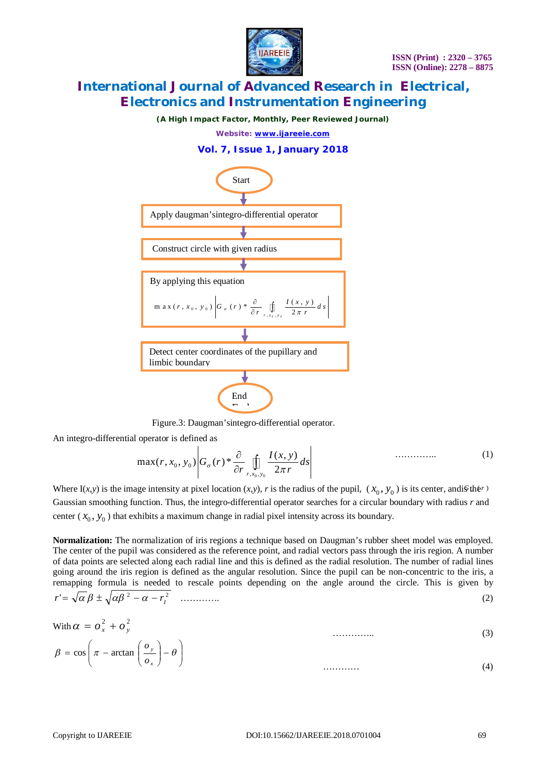

*(A High Impact Factor, Monthly, Peer Reviewed Journal)*

*Website: [www.ijareeie.com](http://www.ijareeie.com)*





Figure.3: Daugman'sintegro-differential operator.

An integro-differential operator is defined as

$$
\max(r, x_0, y_0) \bigg| G_{\sigma}(r) * \frac{\partial}{\partial r} \iint\limits_{r, x_0, y_0} \frac{I(x, y)}{2\pi r} ds \bigg| \qquad \qquad \dots \dots \dots \dots \tag{1}
$$

Where I(*x*,*y*) is the image intensity at pixel location (*x*,*y*), *r* is the radius of the pupil, ( $x_0$ ,  $y_0$ ) is its center, andig the *r*) Gaussian smoothing function. Thus, the integro-differential operator searches for a circular boundary with radius *r* and center  $(x_0, y_0)$  that exhibits a maximum change in radial pixel intensity across its boundary.

**Normalization:** The normalization of iris regions a technique based on Daugman's rubber sheet model was employed. The center of the pupil was considered as the reference point, and radial vectors pass through the iris region. A number of data points are selected along each radial line and this is defined as the radial resolution. The number of radial lines going around the iris region is defined as the angular resolution. Since the pupil can be non-concentric to the iris, a remapping formula is needed to rescale points depending on the angle around the circle. This is given by 2 2 ' *I r r* …………. (2)

$$
\text{With } \alpha = o_x^2 + o_y^2 \tag{3}
$$
\n
$$
\beta = \cos\left(\pi - \arctan\left(\frac{o_y}{o_x}\right) - \theta\right) \tag{4}
$$

………… (4)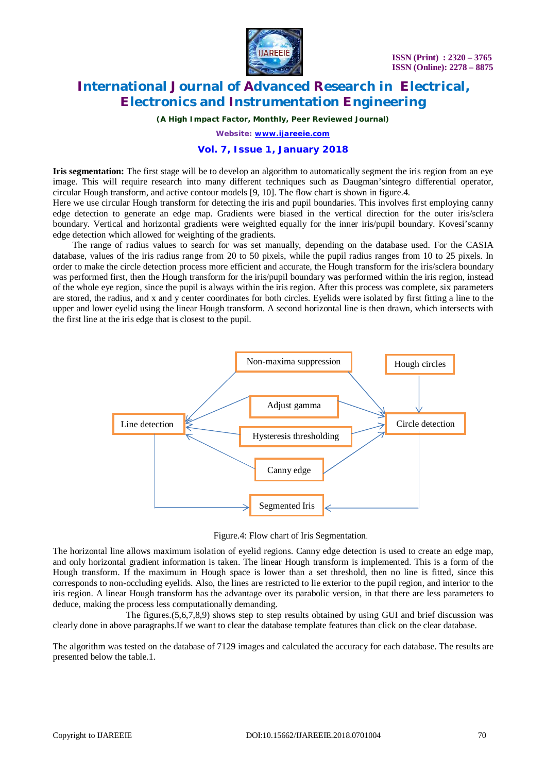

*(A High Impact Factor, Monthly, Peer Reviewed Journal)*

*Website: [www.ijareeie.com](http://www.ijareeie.com)*

#### **Vol. 7, Issue 1, January 2018**

**Iris segmentation:** The first stage will be to develop an algorithm to automatically segment the iris region from an eye image. This will require research into many different techniques such as Daugman'sintegro differential operator, circular Hough transform, and active contour models [9, 10]. The flow chart is shown in figure.4.

Here we use circular Hough transform for detecting the iris and pupil boundaries. This involves first employing canny edge detection to generate an edge map. Gradients were biased in the vertical direction for the outer iris/sclera boundary. Vertical and horizontal gradients were weighted equally for the inner iris/pupil boundary. Kovesi'scanny edge detection which allowed for weighting of the gradients.

The range of radius values to search for was set manually, depending on the database used. For the CASIA database, values of the iris radius range from 20 to 50 pixels, while the pupil radius ranges from 10 to 25 pixels. In order to make the circle detection process more efficient and accurate, the Hough transform for the iris/sclera boundary was performed first, then the Hough transform for the iris/pupil boundary was performed within the iris region, instead of the whole eye region, since the pupil is always within the iris region. After this process was complete, six parameters are stored, the radius, and x and y center coordinates for both circles. Eyelids were isolated by first fitting a line to the upper and lower eyelid using the linear Hough transform. A second horizontal line is then drawn, which intersects with the first line at the iris edge that is closest to the pupil.



Figure.4: Flow chart of Iris Segmentation.

The horizontal line allows maximum isolation of evelid regions. Canny edge detection is used to create an edge map, and only horizontal gradient information is taken. The linear Hough transform is implemented. This is a form of the Hough transform. If the maximum in Hough space is lower than a set threshold, then no line is fitted, since this corresponds to non-occluding eyelids. Also, the lines are restricted to lie exterior to the pupil region, and interior to the iris region. A linear Hough transform has the advantage over its parabolic version, in that there are less parameters to deduce, making the process less computationally demanding.

 The figures.(5,6,7,8,9) shows step to step results obtained by using GUI and brief discussion was clearly done in above paragraphs.If we want to clear the database template features than click on the clear database.

The algorithm was tested on the database of 7129 images and calculated the accuracy for each database. The results are presented below the table.1.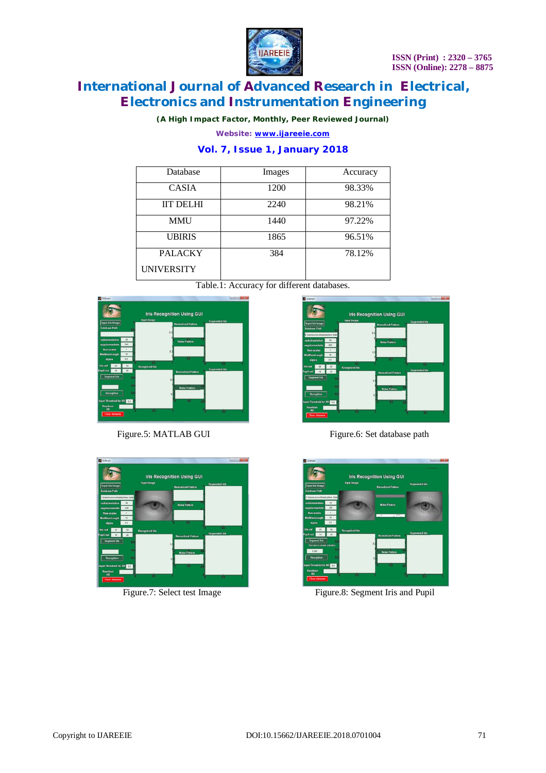

*(A High Impact Factor, Monthly, Peer Reviewed Journal)*

*Website: [www.ijareeie.com](http://www.ijareeie.com)*

### **Vol. 7, Issue 1, January 2018**

| Database          | Images | Accuracy |
|-------------------|--------|----------|
| <b>CASIA</b>      | 1200   | 98.33%   |
| <b>IIT DELHI</b>  | 2240   | 98.21%   |
| MMU               | 1440   | 97.22%   |
| <b>UBIRIS</b>     | 1865   | 96.51%   |
| <b>PALACKY</b>    | 384    | 78.12%   |
| <b>UNIVERSITY</b> |        |          |







Figure.5: MATLAB GUI Figure.6: Set database path



Figure.7: Select test Image Figure.8: Segment Iris and Pupil